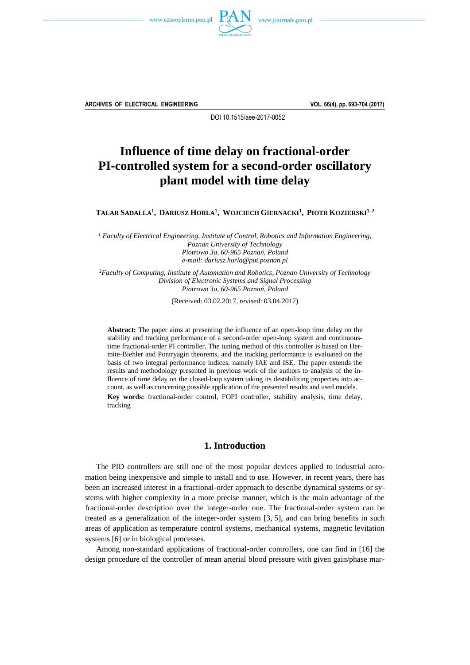



**ARCHIVES OF ELECTRICAL ENGINEERING VOL. 66(4), pp. 693-704 (2017)**

DOI 10.1515/aee-2017-0052

# **Influence of time delay on fractional-order PI-controlled system for a second-order oscillatory plant model with time delay**

TALAR SADALLA<sup>1</sup>, DARIUSZ HORLA<sup>1</sup>, WOJCIECH GIERNACKI<sup>1</sup>, PIOTR KOZIERSKI<sup>1,2</sup>

<sup>1</sup> *Faculty of Electrical Engineering, Institute of Control, Robotics and Information Engineering, Poznan University of Technology Piotrowo 3a, 60-965 Poznań, Poland e-mail: dariusz.horla@put.poznan.pl*

<sup>2</sup>*Faculty of Computing, Institute of Automation and Robotics, Poznan University of Technology Division of Electronic Systems and Signal Processing Piotrowo 3a, 60-965 Poznań, Poland*

(Received: 03.02.2017, revised: 03.04.2017)

**Abstract:** The paper aims at presenting the influence of an open-loop time delay on the stability and tracking performance of a second-order open-loop system and continuoustime fractional-order PI controller. The tuning method of this controller is based on Hermite-Biehler and Pontryagin theorems, and the tracking performance is evaluated on the basis of two integral performance indices, namely IAE and ISE. The paper extends the results and methodology presented in previous work of the authors to analysis of the influence of time delay on the closed-loop system taking its destabilizing properties into account, as well as concerning possible application of the presented results and used models. **Key words:** fractional-order control, FOPI controller, stability analysis, time delay, tracking

## **1. Introduction**

The PID controllers are still one of the most popular devices applied to industrial automation being inexpensive and simple to install and to use. However, in recent years, there has been an increased interest in a fractional-order approach to describe dynamical systems or systems with higher complexity in a more precise manner, which is the main advantage of the fractional-order description over the integer-order one. The fractional-order system can be treated as a generalization of the integer-order system [3, 5], and can bring benefits in such areas of application as temperature control systems, mechanical systems, magnetic levitation systems [6] or in biological processes.

Among non-standard applications of fractional-order controllers, one can find in [16] the design procedure of the controller of mean arterial blood pressure with given gain/phase mar-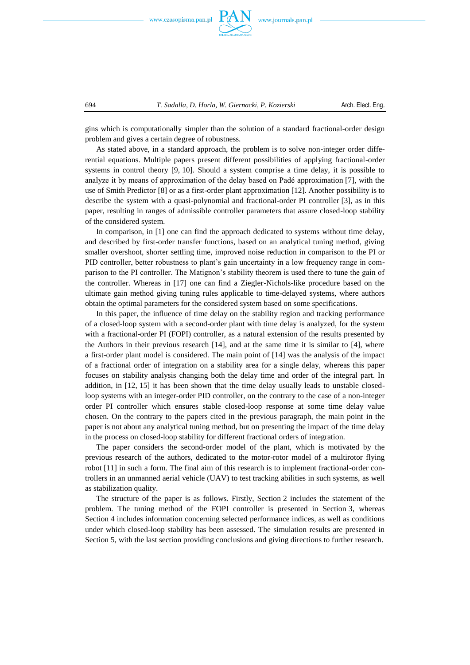



gins which is computationally simpler than the solution of a standard fractional-order design problem and gives a certain degree of robustness.

As stated above, in a standard approach, the problem is to solve non-integer order differential equations. Multiple papers present different possibilities of applying fractional-order systems in control theory [9, 10]. Should a system comprise a time delay, it is possible to analyze it by means of approximation of the delay based on Padé approximation [7], with the use of Smith Predictor [8] or as a first-order plant approximation [12]. Another possibility is to describe the system with a quasi-polynomial and fractional-order PI controller [3], as in this paper, resulting in ranges of admissible controller parameters that assure closed-loop stability of the considered system.

In comparison, in [1] one can find the approach dedicated to systems without time delay, and described by first-order transfer functions, based on an analytical tuning method, giving smaller overshoot, shorter settling time, improved noise reduction in comparison to the PI or PID controller, better robustness to plant's gain uncertainty in a low frequency range in comparison to the PI controller. The Matignon's stability theorem is used there to tune the gain of the controller. Whereas in [17] one can find a Ziegler-Nichols-like procedure based on the ultimate gain method giving tuning rules applicable to time-delayed systems, where authors obtain the optimal parameters for the considered system based on some specifications.

In this paper, the influence of time delay on the stability region and tracking performance of a closed-loop system with a second-order plant with time delay is analyzed, for the system with a fractional-order PI (FOPI) controller, as a natural extension of the results presented by the Authors in their previous research [14], and at the same time it is similar to [4], where a first-order plant model is considered. The main point of [14] was the analysis of the impact of a fractional order of integration on a stability area for a single delay, whereas this paper focuses on stability analysis changing both the delay time and order of the integral part. In addition, in [12, 15] it has been shown that the time delay usually leads to unstable closedloop systems with an integer-order PID controller, on the contrary to the case of a non-integer order PI controller which ensures stable closed-loop response at some time delay value chosen. On the contrary to the papers cited in the previous paragraph, the main point in the paper is not about any analytical tuning method, but on presenting the impact of the time delay in the process on closed-loop stability for different fractional orders of integration.

The paper considers the second-order model of the plant, which is motivated by the previous research of the authors, dedicated to the motor-rotor model of a multirotor flying robot [11] in such a form. The final aim of this research is to implement fractional-order controllers in an unmanned aerial vehicle (UAV) to test tracking abilities in such systems, as well as stabilization quality.

The structure of the paper is as follows. Firstly, Section 2 includes the statement of the problem. The tuning method of the FOPI controller is presented in Section 3, whereas Section 4 includes information concerning selected performance indices, as well as conditions under which closed-loop stability has been assessed. The simulation results are presented in Section 5, with the last section providing conclusions and giving directions to further research.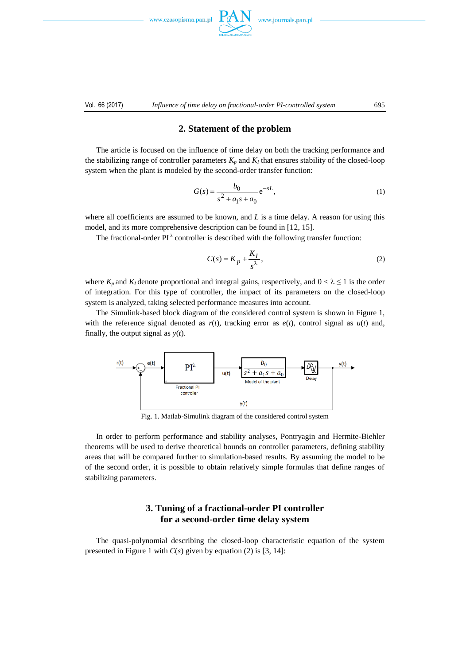www.czasopisma.pan.p





# **2. Statement of the problem**

The article is focused on the influence of time delay on both the tracking performance and the stabilizing range of controller parameters  $K_p$  and  $K_l$  that ensures stability of the closed-loop system when the plant is modeled by the second-order transfer function:

$$
G(s) = \frac{b_0}{s^2 + a_1 s + a_0} e^{-sL},
$$
\n(1)

where all coefficients are assumed to be known, and L is a time delay. A reason for using this model, and its more comprehensive description can be found in [12, 15].

The fractional-order PI $^{\lambda}$  controller is described with the following transfer function:

$$
C(s) = K_p + \frac{K_I}{s^{\lambda}},
$$
\n(2)

where  $K_p$  and  $K_l$  denote proportional and integral gains, respectively, and  $0 < \lambda \leq 1$  is the order of integration. For this type of controller, the impact of its parameters on the closed-loop system is analyzed, taking selected performance measures into account.

The Simulink-based block diagram of the considered control system is shown in Figure 1, with the reference signal denoted as  $r(t)$ , tracking error as  $e(t)$ , control signal as  $u(t)$  and, finally, the output signal as *y*(*t*).



Fig. 1. Matlab-Simulink diagram of the considered control system

In order to perform performance and stability analyses, Pontryagin and Hermite-Biehler theorems will be used to derive theoretical bounds on controller parameters, defining stability areas that will be compared further to simulation-based results. By assuming the model to be of the second order, it is possible to obtain relatively simple formulas that define ranges of stabilizing parameters.

# **3. Tuning of a fractional-order PI controller for a second-order time delay system**

The quasi-polynomial describing the closed-loop characteristic equation of the system presented in Figure 1 with  $C(s)$  given by equation (2) is [3, 14]: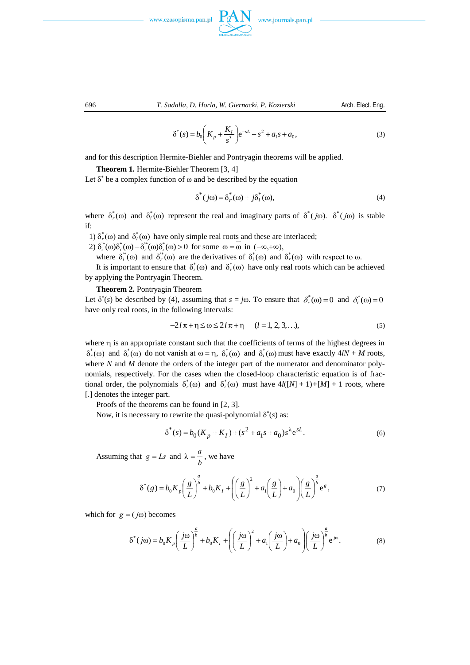





$$
\delta^*(s) = b_0 \left( K_p + \frac{K_I}{s^{\lambda}} \right) e^{-sL} + s^2 + a_1 s + a_0,
$$
\n(3)

and for this description Hermite-Biehler and Pontryagin theorems will be applied.

#### **Theorem 1.** Hermite-Biehler Theorem [3, 4]

Let  $\delta^*$  be a complex function of  $\omega$  and be described by the equation

$$
\delta^*(j\omega) = \delta^*_{r}(\omega) + j\delta^*_{i}(\omega),\tag{4}
$$

where  $\delta_r^*(\omega)$  and  $\delta_i^*(\omega)$  represent the real and imaginary parts of  $\delta^*(j\omega)$ .  $\delta^*(j\omega)$  is stable if:

1)  $\delta_r^*(\omega)$  and  $\delta_i^*(\omega)$  have only simple real roots and these are interlaced;

2)  $\delta_i^*(\omega)\delta_i^*(\omega) - \delta_i^*(\omega)\delta_i^*(\omega) > 0$  for some  $\omega = \omega$  in  $(-\infty, +\infty)$ ,

where  $\delta_i^*(\omega)$  and  $\delta_r^*(\omega)$  are the derivatives of  $\delta_i^*(\omega)$  and  $\delta_r^*(\omega)$  with respect to  $\omega$ .

It is important to ensure that  $\delta_i^*(\omega)$  and  $\delta_r^*(\omega)$  have only real roots which can be achieved by applying the Pontryagin Theorem.

#### **Theorem 2.** Pontryagin Theorem

Let  $\delta^*(s)$  be described by (4), assuming that  $s = j\omega$ . To ensure that  $\delta^*_r(\omega) = 0$  and  $\delta^*_i(\omega) = 0$ have only real roots, in the following intervals:

$$
-2l\pi + \eta \le \omega \le 2l\pi + \eta \qquad (l = 1, 2, 3, ...),
$$
 (5)

where  $\eta$  is an appropriate constant such that the coefficients of terms of the highest degrees in  $\delta_r^*(\omega)$  and  $\delta_i^*(\omega)$  do not vanish at  $\omega = \eta$ ,  $\delta_r^*(\omega)$  and  $\delta_i^*(\omega)$  must have exactly 4*lN* + *M* roots, where *N* and *M* denote the orders of the integer part of the numerator and denominator polynomials, respectively. For the cases when the closed-loop characteristic equation is of fractional order, the polynomials  $\delta_r^*(\omega)$  and  $\delta_i^*(\omega)$  must have  $4l([N]+1)+(M]+1$  roots, where [.] denotes the integer part.

Proofs of the theorems can be found in [2, 3].

Now, it is necessary to rewrite the quasi-polynomial  $\delta^*(s)$  as:

$$
\delta^*(s) = b_0(K_p + K_I) + (s^2 + a_1 s + a_0) s^{\lambda} e^{sL}.
$$
 (6)

Assuming that  $g = Ls$  and  $\lambda = \frac{a}{b}$  $\lambda = \frac{a}{l}$ , we have

$$
\delta^*(g) = b_0 K_p \left(\frac{g}{L}\right)^{\frac{a}{b}} + b_0 K_I + \left(\left(\frac{g}{L}\right)^2 + a_1 \left(\frac{g}{L}\right) + a_0\right) \left(\frac{g}{L}\right)^{\frac{a}{b}} e^g,
$$
\n(7)

which for  $g = (j\omega)$  becomes

$$
\delta^*(j\omega) = b_0 K_p \left(\frac{j\omega}{L}\right)^{\frac{a}{b}} + b_0 K_I + \left(\left(\frac{j\omega}{L}\right)^2 + a_1 \left(\frac{j\omega}{L}\right) + a_0 \right) \left(\frac{j\omega}{L}\right)^{\frac{a}{b}} e^{j\omega}.
$$
 (8)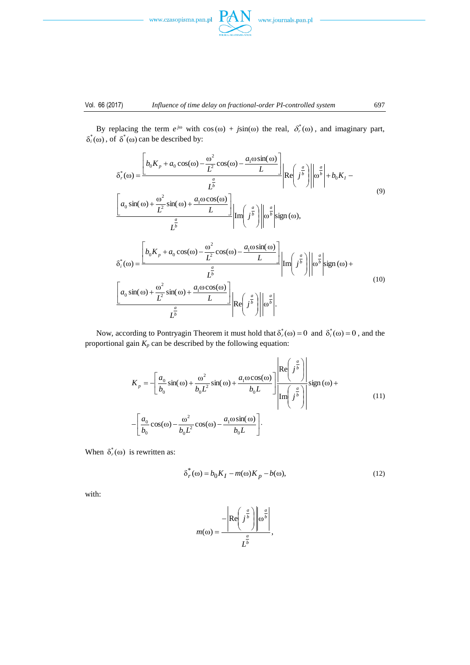



 $\delta_i^*(\omega)$ , of  $\delta^*(\omega)$  can be described by:

By replacing the term  $e^{j\omega}$  with  $cos(\omega) + jsin(\omega)$  the real,  $\delta_r^*(\omega)$ , and imaginary part,

$$
\delta_r^*(\omega) = \frac{\left[b_0 K_p + a_0 \cos(\omega) - \frac{\omega^2}{L^2} \cos(\omega) - \frac{a_1 \omega \sin(\omega)}{L}\right]}{L} \left|Re\left(j^{\frac{a}{b}}\right)\right| \left|\omega^{\frac{a}{b}}\right| + b_0 K_I - \frac{a_0 \sin(\omega) + \frac{\omega^2}{L^2} \sin(\omega) + \frac{a_1 \omega \cos(\omega)}{L}}{L^{\frac{a}{b}}} \right| Im\left(j^{\frac{a}{b}}\right) \left|\omega^{\frac{a}{b}}\right| sign(\omega),
$$
\n
$$
\delta_i^*(\omega) = \frac{\left[b_0 K_p + a_0 \cos(\omega) - \frac{\omega^2}{L^2} \cos(\omega) - \frac{a_1 \omega \sin(\omega)}{L}\right]}{L^{\frac{a}{b}}} Im\left(j^{\frac{a}{b}}\right) \left|\omega^{\frac{a}{b}}\right| sign(\omega) + \frac{a_0 \sin(\omega) + \frac{\omega^2}{L^{\frac{a}{b}}}}{L^{\frac{a}{b}}} Im\left(j^{\frac{a}{b}}\right) \left|\omega^{\frac{a}{b}}\right| sign(\omega) + \frac{a_0 \sin(\omega) + \frac{\omega^2}{L^2} \sin(\omega) + \frac{a_1 \omega \cos(\omega)}{L^{\frac{a}{b}}}}{R^{\frac{a}{b}}} \right| Re\left(j^{\frac{a}{b}}\right) \left|\omega^{\frac{a}{b}}\right|.
$$
\n(10)

Now, according to Pontryagin Theorem it must hold that  $\delta^*_{r}(\omega) = 0$  and  $\delta^*_{i}(\omega) = 0$ , and the proportional gain  $K_p$  can be described by the following equation:

$$
K_{p} = -\left[\frac{a_{0}}{b_{0}}\sin(\omega) + \frac{\omega^{2}}{b_{0}L^{2}}\sin(\omega) + \frac{a_{1}\omega\cos(\omega)}{b_{0}L}\right] \frac{\left|\text{Re}\left(j^{\frac{a}{b}}\right)\right|}{\left|\text{Im}\left(j^{\frac{a}{b}}\right)\right|} \text{sign}(\omega) + \left[-\frac{a_{0}}{b_{0}}\cos(\omega) - \frac{\omega^{2}}{b_{0}L^{2}}\cos(\omega) - \frac{a_{1}\omega\sin(\omega)}{b_{0}L}\right].
$$
\n(11)

When  $\delta_r^*(\omega)$  is rewritten as:

$$
\delta_r^*(\omega) = b_0 K_I - m(\omega) K_p - b(\omega),\tag{12}
$$

with:

$$
m(\omega) = \frac{-\left| \text{Re}\left(j^{\frac{a}{b}}\right) \right| \omega^{\frac{a}{b}}}{L^{\frac{a}{b}}},
$$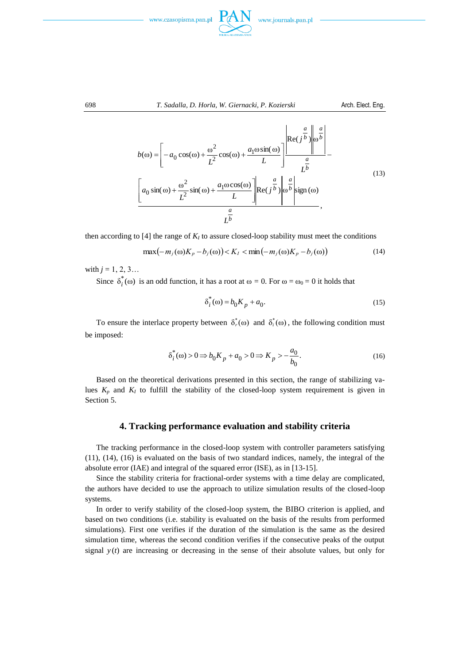

$$
b(\omega) = \left[ -a_0 \cos(\omega) + \frac{\omega^2}{L^2} \cos(\omega) + \frac{a_1 \omega \sin(\omega)}{L} \right] \frac{\left| \text{Re}(j^{\frac{a}{b}}) \right| \omega^{\frac{a}{b}}}{\frac{a}{L^b}}
$$
  

$$
\left[ a_0 \sin(\omega) + \frac{\omega^2}{L^2} \sin(\omega) + \frac{a_1 \omega \cos(\omega)}{L} \right] \left| \text{Re}(j^{\frac{a}{b}}) \right| \omega^{\frac{a}{b}} \left| \text{sign}(\omega) \right|
$$
  

$$
\frac{a}{L^b},
$$
 (13)

then according to [4] the range of  $K<sub>I</sub>$  to assure closed-loop stability must meet the conditions

$$
\max(-m_j(\omega)K_p - b_j(\omega)) < K_I < \min(-m_j(\omega)K_p - b_j(\omega)) \tag{14}
$$

with  $j = 1, 2, 3...$ 

Since  $\delta_i^*(\omega)$  is an odd function, it has a root at  $\omega = 0$ . For  $\omega = \omega_0 = 0$  it holds that

$$
\delta_i^*(\omega) = b_0 K_p + a_0. \tag{15}
$$

To ensure the interlace property between  $\delta_r^*(\omega)$  and  $\delta_i^*(\omega)$ , the following condition must be imposed:

$$
\delta_i^*(\omega) > 0 \Rightarrow b_0 K_p + a_0 > 0 \Rightarrow K_p > -\frac{a_0}{b_0}.
$$
\n(16)

Based on the theoretical derivations presented in this section, the range of stabilizing values  $K_p$  and  $K_I$  to fulfill the stability of the closed-loop system requirement is given in Section 5.

### **4. Tracking performance evaluation and stability criteria**

The tracking performance in the closed-loop system with controller parameters satisfying (11), (14), (16) is evaluated on the basis of two standard indices, namely, the integral of the absolute error (IAE) and integral of the squared error (ISE), as in [13-15].

Since the stability criteria for fractional-order systems with a time delay are complicated, the authors have decided to use the approach to utilize simulation results of the closed-loop systems.

In order to verify stability of the closed-loop system, the BIBO criterion is applied, and based on two conditions (i.e. stability is evaluated on the basis of the results from performed simulations). First one verifies if the duration of the simulation is the same as the desired simulation time, whereas the second condition verifies if the consecutive peaks of the output signal  $y(t)$  are increasing or decreasing in the sense of their absolute values, but only for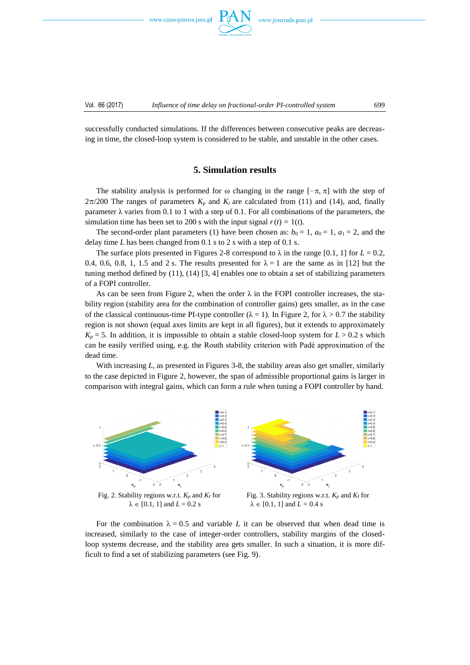www.czasopisma.pan.pl



successfully conducted simulations. If the differences between consecutive peaks are decreasing in time, the closed-loop system is considered to be stable, and unstable in the other cases.

# **5. Simulation results**

The stability analysis is performed for  $\omega$  changing in the range  $[-\pi, \pi]$  with the step of  $2\pi/200$  The ranges of parameters  $K_p$  and  $K_i$  are calculated from (11) and (14), and, finally parameter  $\lambda$  varies from 0.1 to 1 with a step of 0.1. For all combinations of the parameters, the simulation time has been set to 200 s with the input signal  $r(t) = 1(t)$ .

The second-order plant parameters (1) have been chosen as:  $b_0 = 1$ ,  $a_0 = 1$ ,  $a_1 = 2$ , and the delay time *L* has been changed from 0.1 s to 2 s with a step of 0.1 s.

The surface plots presented in Figures 2-8 correspond to  $\lambda$  in the range [0.1, 1] for  $L = 0.2$ , 0.4, 0.6, 0.8, 1, 1.5 and 2 s. The results presented for  $\lambda = 1$  are the same as in [12] but the tuning method defined by (11), (14) [3, 4] enables one to obtain a set of stabilizing parameters of a FOPI controller.

As can be seen from Figure 2, when the order  $\lambda$  in the FOPI controller increases, the stability region (stability area for the combination of controller gains) gets smaller, as in the case of the classical continuous-time PI-type controller ( $\lambda = 1$ ). In Figure 2, for  $\lambda > 0.7$  the stability region is not shown (equal axes limits are kept in all figures), but it extends to approximately  $K_p = 5$ . In addition, it is impossible to obtain a stable closed-loop system for  $L > 0.2$  s which can be easily verified using, e.g. the Routh stability criterion with Padé approximation of the dead time.

With increasing *L*, as presented in Figures 3-8, the stability areas also get smaller, similarly to the case depicted in Figure 2, however, the span of admissible proportional gains is larger in comparison with integral gains, which can form a rule when tuning a FOPI controller by hand.



For the combination  $\lambda = 0.5$  and variable L it can be observed that when dead time is increased, similarly to the case of integer-order controllers, stability margins of the closedloop systems decrease, and the stability area gets smaller. In such a situation, it is more difficult to find a set of stabilizing parameters (see Fig. 9).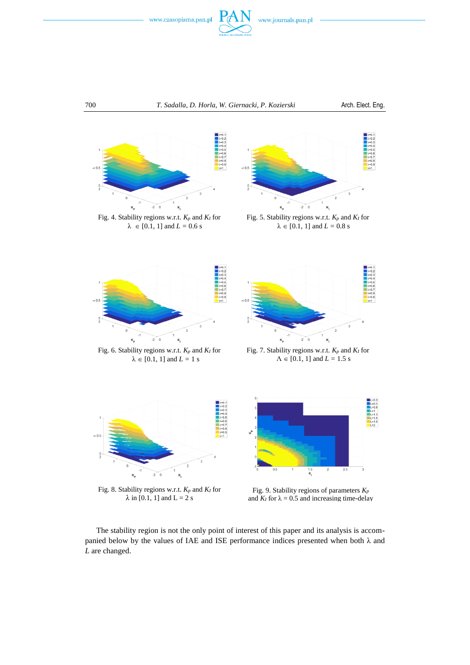





 $\lambda \in [0.1, 1]$  and  $L = 0.6$  s



Fig. 5. Stability regions w.r.t. *K<sup>p</sup>* and *K<sup>I</sup>* for  $\lambda \in [0.1, 1]$  and  $L = 0.8$  s



Fig. 6. Stability regions w.r.t. *K<sup>p</sup>* and *K<sup>I</sup>* for  $\lambda \in [0.1, 1]$  and  $L = 1$  s



Fig. 7. Stability regions w.r.t. *K<sup>p</sup>* and *K<sup>I</sup>* for  $\Lambda \in [0.1, 1]$  and  $L = 1.5$  s



Fig. 8. Stability regions w.r.t. *K<sup>p</sup>* and *K<sup>I</sup>* for  $\lambda$  in [0.1, 1] and L = 2 s



 $\frac{1.5}{K}$ 

The stability region is not the only point of interest of this paper and its analysis is accompanied below by the values of IAE and ISE performance indices presented when both  $\lambda$  and *L* are changed.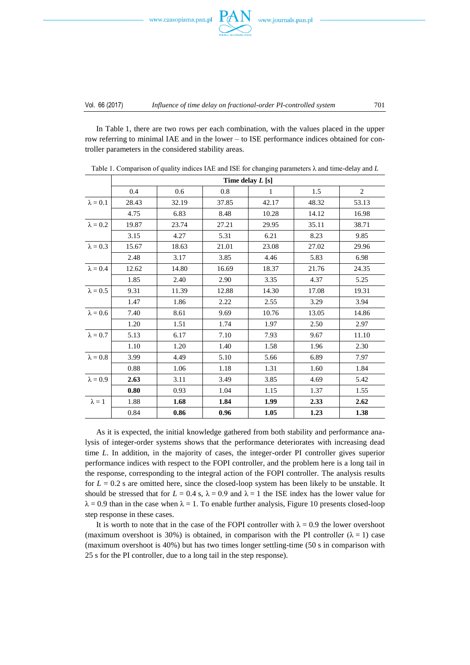



In Table 1, there are two rows per each combination, with the values placed in the upper row referring to minimal IAE and in the lower – to ISE performance indices obtained for controller parameters in the considered stability areas.

|                 | Time delay $L$ [s] |       |       |       |       |                |
|-----------------|--------------------|-------|-------|-------|-------|----------------|
|                 | 0.4                | 0.6   | 0.8   | 1     | 1.5   | $\overline{2}$ |
| $\lambda = 0.1$ | 28.43              | 32.19 | 37.85 | 42.17 | 48.32 | 53.13          |
|                 | 4.75               | 6.83  | 8.48  | 10.28 | 14.12 | 16.98          |
| $\lambda = 0.2$ | 19.87              | 23.74 | 27.21 | 29.95 | 35.11 | 38.71          |
|                 | 3.15               | 4.27  | 5.31  | 6.21  | 8.23  | 9.85           |
| $\lambda = 0.3$ | 15.67              | 18.63 | 21.01 | 23.08 | 27.02 | 29.96          |
|                 | 2.48               | 3.17  | 3.85  | 4.46  | 5.83  | 6.98           |
| $\lambda = 0.4$ | 12.62              | 14.80 | 16.69 | 18.37 | 21.76 | 24.35          |
|                 | 1.85               | 2.40  | 2.90  | 3.35  | 4.37  | 5.25           |
| $\lambda = 0.5$ | 9.31               | 11.39 | 12.88 | 14.30 | 17.08 | 19.31          |
|                 | 1.47               | 1.86  | 2.22  | 2.55  | 3.29  | 3.94           |
| $\lambda = 0.6$ | 7.40               | 8.61  | 9.69  | 10.76 | 13.05 | 14.86          |
|                 | 1.20               | 1.51  | 1.74  | 1.97  | 2.50  | 2.97           |
| $\lambda=0.7$   | 5.13               | 6.17  | 7.10  | 7.93  | 9.67  | 11.10          |
|                 | 1.10               | 1.20  | 1.40  | 1.58  | 1.96  | 2.30           |
| $\lambda = 0.8$ | 3.99               | 4.49  | 5.10  | 5.66  | 6.89  | 7.97           |
|                 | 0.88               | 1.06  | 1.18  | 1.31  | 1.60  | 1.84           |
| $\lambda = 0.9$ | 2.63               | 3.11  | 3.49  | 3.85  | 4.69  | 5.42           |
|                 | 0.80               | 0.93  | 1.04  | 1.15  | 1.37  | 1.55           |
| $\lambda = 1$   | 1.88               | 1.68  | 1.84  | 1.99  | 2.33  | 2.62           |
|                 | 0.84               | 0.86  | 0.96  | 1.05  | 1.23  | 1.38           |

Table 1. Comparison of quality indices IAE and ISE for changing parameters λ and time-delay and *L*

As it is expected, the initial knowledge gathered from both stability and performance analysis of integer-order systems shows that the performance deteriorates with increasing dead time *L*. In addition, in the majority of cases, the integer-order PI controller gives superior performance indices with respect to the FOPI controller, and the problem here is a long tail in the response, corresponding to the integral action of the FOPI controller. The analysis results for  $L = 0.2$  s are omitted here, since the closed-loop system has been likely to be unstable. It should be stressed that for  $L = 0.4$  s,  $\lambda = 0.9$  and  $\lambda = 1$  the ISE index has the lower value for  $\lambda = 0.9$  than in the case when  $\lambda = 1$ . To enable further analysis, Figure 10 presents closed-loop step response in these cases.

It is worth to note that in the case of the FOPI controller with  $\lambda = 0.9$  the lower overshoot (maximum overshoot is 30%) is obtained, in comparison with the PI controller ( $\lambda = 1$ ) case (maximum overshoot is 40%) but has two times longer settling-time (50 s in comparison with 25 s for the PI controller, due to a long tail in the step response).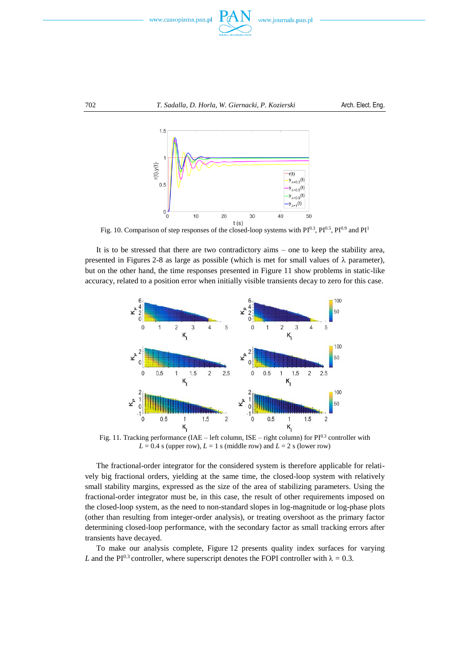



Fig. 10. Comparison of step responses of the closed-loop systems with  $PI^{0.3}$ ,  $PI^{0.5}$ ,  $PI^{0.9}$  and  $PI^{1}$ 

It is to be stressed that there are two contradictory aims – one to keep the stability area, presented in Figures 2-8 as large as possible (which is met for small values of  $\lambda$  parameter), but on the other hand, the time responses presented in Figure 11 show problems in static-like accuracy, related to a position error when initially visible transients decay to zero for this case.



Fig. 11. Tracking performance (IAE – left column, ISE – right column) for  $PI^{0.3}$  controller with  $L = 0.4$  s (upper row),  $L = 1$  s (middle row) and  $L = 2$  s (lower row)

The fractional-order integrator for the considered system is therefore applicable for relatively big fractional orders, yielding at the same time, the closed-loop system with relatively small stability margins, expressed as the size of the area of stabilizing parameters. Using the fractional-order integrator must be, in this case, the result of other requirements imposed on the closed-loop system, as the need to non-standard slopes in log-magnitude or log-phase plots (other than resulting from integer-order analysis), or treating overshoot as the primary factor determining closed-loop performance, with the secondary factor as small tracking errors after transients have decayed.

To make our analysis complete, Figure 12 presents quality index surfaces for varying *L* and the PI<sup>0.3</sup> controller, where superscript denotes the FOPI controller with  $\lambda = 0.3$ .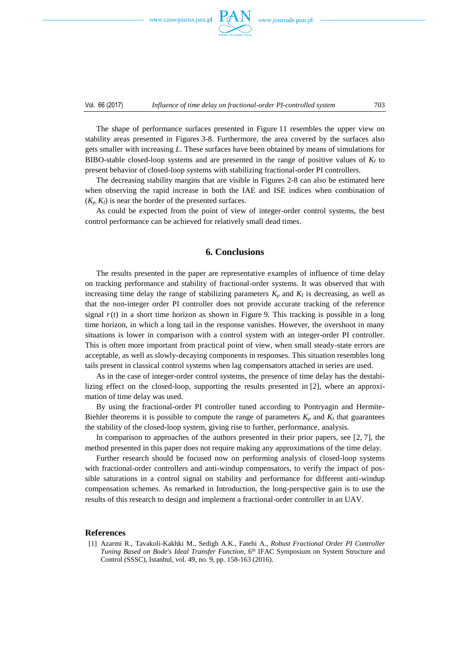www.czasopisma.pan.pl



The shape of performance surfaces presented in Figure 11 resembles the upper view on stability areas presented in Figures 3-8. Furthermore, the area covered by the surfaces also gets smaller with increasing *L*. These surfaces have been obtained by means of simulations for BIBO-stable closed-loop systems and are presented in the range of positive values of  $K_I$  to present behavior of closed-loop systems with stabilizing fractional-order PI controllers.

The decreasing stability margins that are visible in Figures 2-8 can also be estimated here when observing the rapid increase in both the IAE and ISE indices when combination of  $(K_p, K_l)$  is near the border of the presented surfaces.

As could be expected from the point of view of integer-order control systems, the best control performance can be achieved for relatively small dead times.

#### **6. Conclusions**

The results presented in the paper are representative examples of influence of time delay on tracking performance and stability of fractional-order systems. It was observed that with increasing time delay the range of stabilizing parameters  $K_p$  and  $K_l$  is decreasing, as well as that the non-integer order PI controller does not provide accurate tracking of the reference signal  $r(t)$  in a short time horizon as shown in Figure 9. This tracking is possible in a long time horizon, in which a long tail in the response vanishes. However, the overshoot in many situations is lower in comparison with a control system with an integer-order PI controller. This is often more important from practical point of view, when small steady-state errors are acceptable, as well as slowly-decaying components in responses. This situation resembles long tails present in classical control systems when lag compensators attached in series are used.

As in the case of integer-order control systems, the presence of time delay has the destabilizing effect on the closed-loop, supporting the results presented in [2], where an approximation of time delay was used.

By using the fractional-order PI controller tuned according to Pontryagin and Hermite-Biehler theorems it is possible to compute the range of parameters  $K_p$  and  $K_l$  that guarantees the stability of the closed-loop system, giving rise to further, performance, analysis.

In comparison to approaches of the authors presented in their prior papers, see [2, 7], the method presented in this paper does not require making any approximations of the time delay.

Further research should be focused now on performing analysis of closed-loop systems with fractional-order controllers and anti-windup compensators, to verify the impact of possible saturations in a control signal on stability and performance for different anti-windup compensation schemes. As remarked in Introduction, the long-perspective gain is to use the results of this research to design and implement a fractional-order controller in an UAV.

#### **References**

[1] Azarmi R., Tavakoli-Kakhki M., Sedigh A.K., Fatehi A., *Robust Fractional Order PI Controller Tuning Based on Bode's Ideal Transfer Function*, 6 th IFAC Symposium on System Structure and Control (SSSC), Istanbul, vol. 49, no. 9, pp. 158-163 (2016).